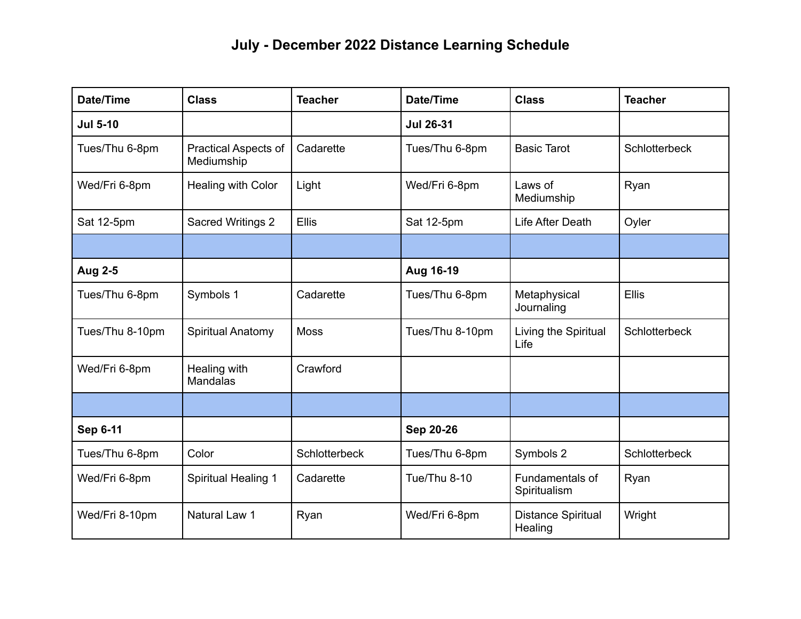## **July - December 2022 Distance Learning Schedule**

| Date/Time       | <b>Class</b>                              | <b>Teacher</b> | Date/Time        | <b>Class</b>                         | <b>Teacher</b>       |
|-----------------|-------------------------------------------|----------------|------------------|--------------------------------------|----------------------|
| <b>Jul 5-10</b> |                                           |                | <b>Jul 26-31</b> |                                      |                      |
| Tues/Thu 6-8pm  | <b>Practical Aspects of</b><br>Mediumship | Cadarette      | Tues/Thu 6-8pm   | <b>Basic Tarot</b>                   | Schlotterbeck        |
| Wed/Fri 6-8pm   | Healing with Color                        | Light          | Wed/Fri 6-8pm    | Laws of<br>Mediumship                | Ryan                 |
| Sat 12-5pm      | Sacred Writings 2                         | <b>Ellis</b>   | Sat 12-5pm       | Life After Death                     | Oyler                |
|                 |                                           |                |                  |                                      |                      |
| <b>Aug 2-5</b>  |                                           |                | Aug 16-19        |                                      |                      |
| Tues/Thu 6-8pm  | Symbols 1                                 | Cadarette      | Tues/Thu 6-8pm   | Metaphysical<br>Journaling           | <b>Ellis</b>         |
| Tues/Thu 8-10pm | Spiritual Anatomy                         | <b>Moss</b>    | Tues/Thu 8-10pm  | Living the Spiritual<br>Life         | <b>Schlotterbeck</b> |
| Wed/Fri 6-8pm   | Healing with<br>Mandalas                  | Crawford       |                  |                                      |                      |
|                 |                                           |                |                  |                                      |                      |
| <b>Sep 6-11</b> |                                           |                | Sep 20-26        |                                      |                      |
| Tues/Thu 6-8pm  | Color                                     | Schlotterbeck  | Tues/Thu 6-8pm   | Symbols 2                            | <b>Schlotterbeck</b> |
| Wed/Fri 6-8pm   | <b>Spiritual Healing 1</b>                | Cadarette      | Tue/Thu 8-10     | Fundamentals of<br>Spiritualism      | Ryan                 |
| Wed/Fri 8-10pm  | Natural Law 1                             | Ryan           | Wed/Fri 6-8pm    | <b>Distance Spiritual</b><br>Healing | Wright               |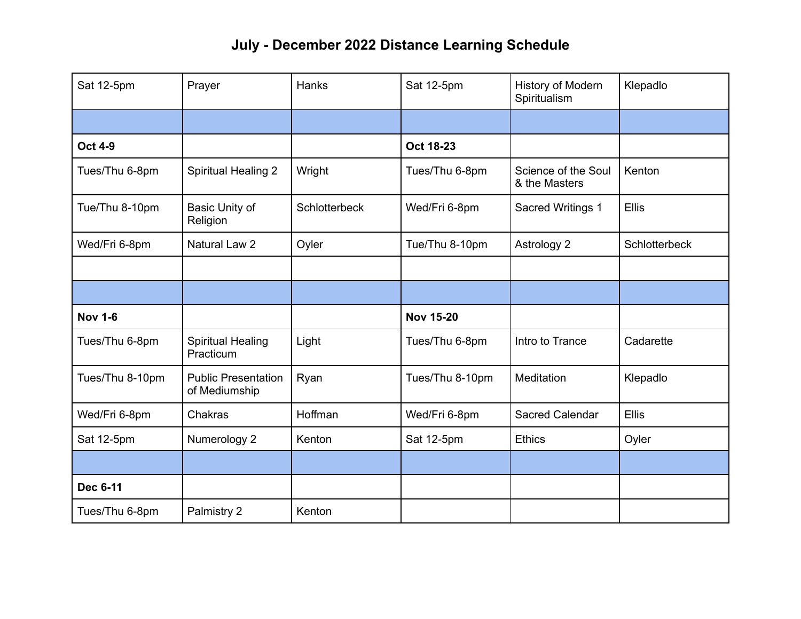## **July - December 2022 Distance Learning Schedule**

| Sat 12-5pm      | Prayer                                      | <b>Hanks</b>  | Sat 12-5pm       | History of Modern<br>Spiritualism    | Klepadlo      |
|-----------------|---------------------------------------------|---------------|------------------|--------------------------------------|---------------|
|                 |                                             |               |                  |                                      |               |
| <b>Oct 4-9</b>  |                                             |               | Oct 18-23        |                                      |               |
| Tues/Thu 6-8pm  | <b>Spiritual Healing 2</b>                  | Wright        | Tues/Thu 6-8pm   | Science of the Soul<br>& the Masters | Kenton        |
| Tue/Thu 8-10pm  | Basic Unity of<br>Religion                  | Schlotterbeck | Wed/Fri 6-8pm    | Sacred Writings 1                    | <b>Ellis</b>  |
| Wed/Fri 6-8pm   | Natural Law 2                               | Oyler         | Tue/Thu 8-10pm   | Astrology 2                          | Schlotterbeck |
|                 |                                             |               |                  |                                      |               |
|                 |                                             |               |                  |                                      |               |
| <b>Nov 1-6</b>  |                                             |               | <b>Nov 15-20</b> |                                      |               |
| Tues/Thu 6-8pm  | <b>Spiritual Healing</b><br>Practicum       | Light         | Tues/Thu 6-8pm   | Intro to Trance                      | Cadarette     |
| Tues/Thu 8-10pm | <b>Public Presentation</b><br>of Mediumship | Ryan          | Tues/Thu 8-10pm  | Meditation                           | Klepadlo      |
| Wed/Fri 6-8pm   | Chakras                                     | Hoffman       | Wed/Fri 6-8pm    | Sacred Calendar                      | <b>Ellis</b>  |
| Sat 12-5pm      | Numerology 2                                | Kenton        | Sat 12-5pm       | <b>Ethics</b>                        | Oyler         |
|                 |                                             |               |                  |                                      |               |
| Dec 6-11        |                                             |               |                  |                                      |               |
| Tues/Thu 6-8pm  | Palmistry 2                                 | Kenton        |                  |                                      |               |